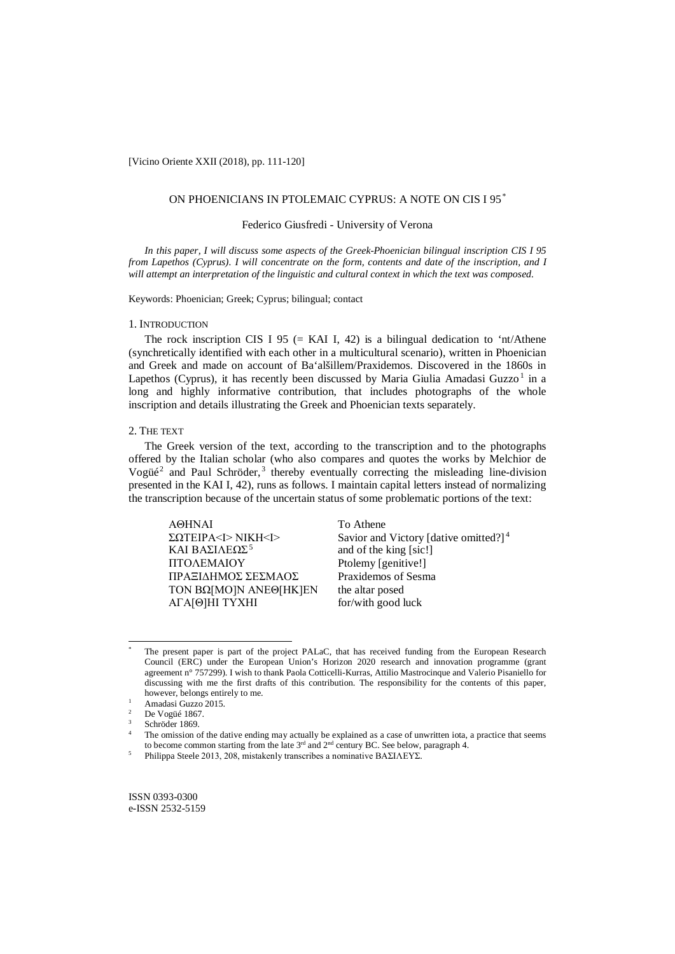[Vicino Oriente XXII (2018), pp. 111-120]

# ON PHOENICIANS IN PTOLEMAIC CYPRUS: A NOTE ON CIS I 95\*

## Federico Giusfredi - University of Verona

*In this paper, I will discuss some aspects of the Greek-Phoenician bilingual inscription CIS I 95 from Lapethos (Cyprus). I will concentrate on the form, contents and date of the inscription, and I will attempt an interpretation of the linguistic and cultural context in which the text was composed.*

Keywords: Phoenician; Greek; Cyprus; bilingual; contact

## 1. INTRODUCTION

The rock inscription CIS I 95 (= KAI I, 42) is a bilingual dedication to 'nt/Athene (synchretically identified with each other in a multicultural scenario), written in Phoenician and Greek and made on account of Ba'alšillem/Praxidemos. Discovered in the 1860s in Lapethos (Cyprus), it has recently been discussed by Maria Giulia Amadasi Guzzo<sup>1</sup> in a long and highly informative contribution, that includes photographs of the whole inscription and details illustrating the Greek and Phoenician texts separately.

# 2. THE TEXT

The Greek version of the text, according to the transcription and to the photographs offered by the Italian scholar (who also compares and quotes the works by Melchior de Vogüé<sup>2</sup> and Paul Schröder,<sup>3</sup> thereby eventually correcting the misleading line-division presented in the KAI I, 42), runs as follows. I maintain capital letters instead of normalizing the transcription because of the uncertain status of some problematic portions of the text:

AΘHNAI To Athene ΠTOΛEMAIOY Ptolemy [genitive!] ΠΡΑΞIΔHMOΣ ΣEΣMAOΣ Praxidemos of Sesma TON BΩ[MO]N ANEΘ[HK]EN the altar posed AΓA[Θ]HI TYXHI for/with good luck

ΣΩΤΕΙΡΑ<I> NIKH<I>
Savior and Victory [dative omitted?]<sup>4</sup>
<br>
KAI ΒΑΣΙΛΕΩΣ<sup>5</sup>

and of the king [sic!] and of the king [sic!]

 $\overline{a}$ 

ISSN 0393-0300 e-ISSN 2532-5159

The present paper is part of the project PALaC, that has received funding from the European Research Council (ERC) under the European Union's Horizon 2020 research and innovation programme (grant agreement n° 757299). I wish to thank Paola Cotticelli-Kurras, Attilio Mastrocinque and Valerio Pisaniello for discussing with me the first drafts of this contribution. The responsibility for the contents of this paper, however, belongs entirely to me.

<sup>&</sup>lt;sup>1</sup> Amadasi Guzzo 2015.

De Vogüé 1867.

 $3$  Schröder 1869.

The omission of the dative ending may actually be explained as a case of unwritten iota, a practice that seems to become common starting from the late 3<sup>rd</sup> and 2<sup>nd</sup> century BC. See below, paragraph 4.

Philippa Steele 2013, 208, mistakenly transcribes a nominative ΒΑΣΙΛΕΥΣ.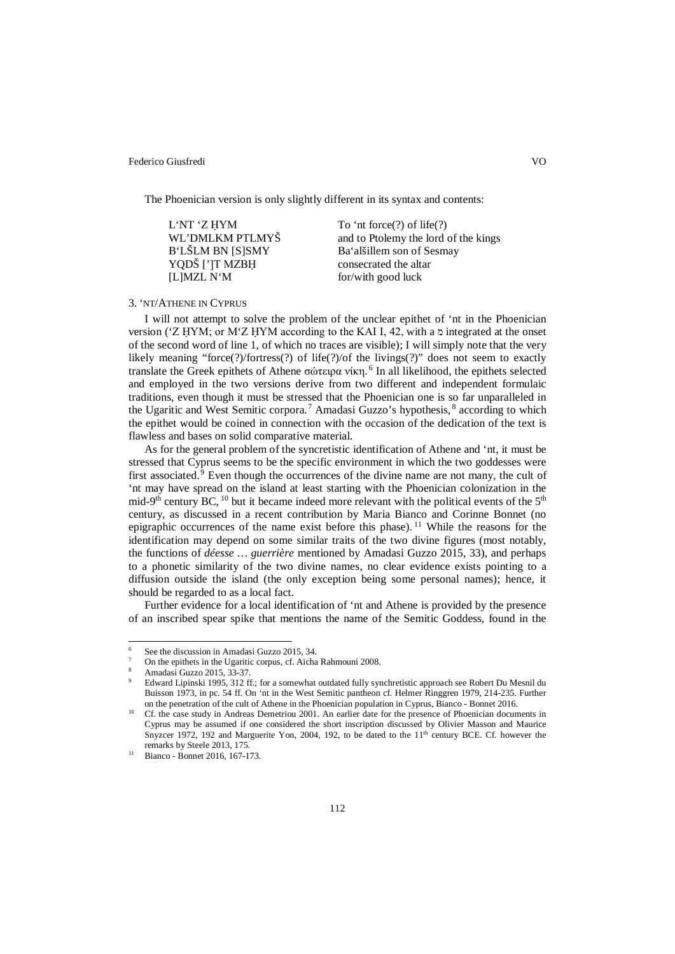The Phoenician version is only slightly different in its syntax and contents:

| L'NT 'Z HYM             | To 'nt force $(?)$ of life $(?)$     |
|-------------------------|--------------------------------------|
| WL'DMLKM PTLMYŠ         | and to Ptolemy the lord of the kings |
| <b>B'LŠLM BN [S]SMY</b> | Ba'alšillem son of Sesmay            |
| YQDŠ [']T MZBH          | consecrated the altar                |
| [L]MZL N'M              | for/with good luck                   |

## 3. 'NT/ATHENE IN CYPRUS

I will not attempt to solve the problem of the unclear epithet of 'nt in the Phoenician version ('Z ḤYM; or M'Z ḤYM according to the KAI I, 42, with a  $\alpha$  integrated at the onset of the second word of line 1, of which no traces are visible); I will simply note that the very likely meaning "force(?)/fortress(?) of life(?)/of the livings(?)" does not seem to exactly translate the Greek epithets of Athene σώτειρα νίκη.<sup>6</sup> In all likelihood, the epithets selected and employed in the two versions derive from two different and independent formulaic traditions, even though it must be stressed that the Phoenician one is so far unparalleled in the Ugaritic and West Semitic corpora.<sup>7</sup> Amadasi Guzzo's hypothesis, <sup>8</sup> according to which the epithet would be coined in connection with the occasion of the dedication of the text is flawless and bases on solid comparative material.

As for the general problem of the syncretistic identification of Athene and 'nt, it must be stressed that Cyprus seems to be the specific environment in which the two goddesses were first associated.<sup>9</sup> Even though the occurrences of the divine name are not many, the cult of 'nt may have spread on the island at least starting with the Phoenician colonization in the mid-9<sup>th</sup> century BC, <sup>10</sup> but it became indeed more relevant with the political events of the  $5<sup>th</sup>$ century, as discussed in a recent contribution by Maria Bianco and Corinne Bonnet (no epigraphic occurrences of the name exist before this phase). <sup>11</sup> While the reasons for the identification may depend on some similar traits of the two divine figures (most notably, the functions of *déesse … guerrière* mentioned by Amadasi Guzzo 2015, 33), and perhaps to a phonetic similarity of the two divine names, no clear evidence exists pointing to a diffusion outside the island (the only exception being some personal names); hence, it should be regarded to as a local fact.

Further evidence for a local identification of 'nt and Athene is provided by the presence of an inscribed spear spike that mentions the name of the Semitic Goddess, found in the

 $\overline{a}$ 

See the discussion in Amadasi Guzzo 2015, 34.

<sup>7</sup> On the epithets in the Ugaritic corpus, cf. Aicha Rahmouni 2008.

<sup>8</sup> Amadasi Guzzo 2015, 33-37.

<sup>9</sup> Edward Lipinski 1995, 312 ff.; for a somewhat outdated fully synchretistic approach see Robert Du Mesnil du Buisson 1973, in pc. 54 ff. On 'nt in the West Semitic pantheon cf. Helmer Ringgren 1979, 214-235. Further on the penetration of the cult of Athene in the Phoenician population in Cyprus, Bianco - Bonnet 2016.

<sup>&</sup>lt;sup>10</sup> Cf. the case study in Andreas Demetriou 2001. An earlier date for the presence of Phoenician documents in Cyprus may be assumed if one considered the short inscription discussed by Olivier Masson and Maurice Snyzcer 1972, 192 and Marguerite Yon, 2004, 192, to be dated to the 11<sup>th</sup> century BCE. Cf. however the remarks by Steele 2013, 175.

<sup>11</sup> Bianco - Bonnet 2016, 167-173.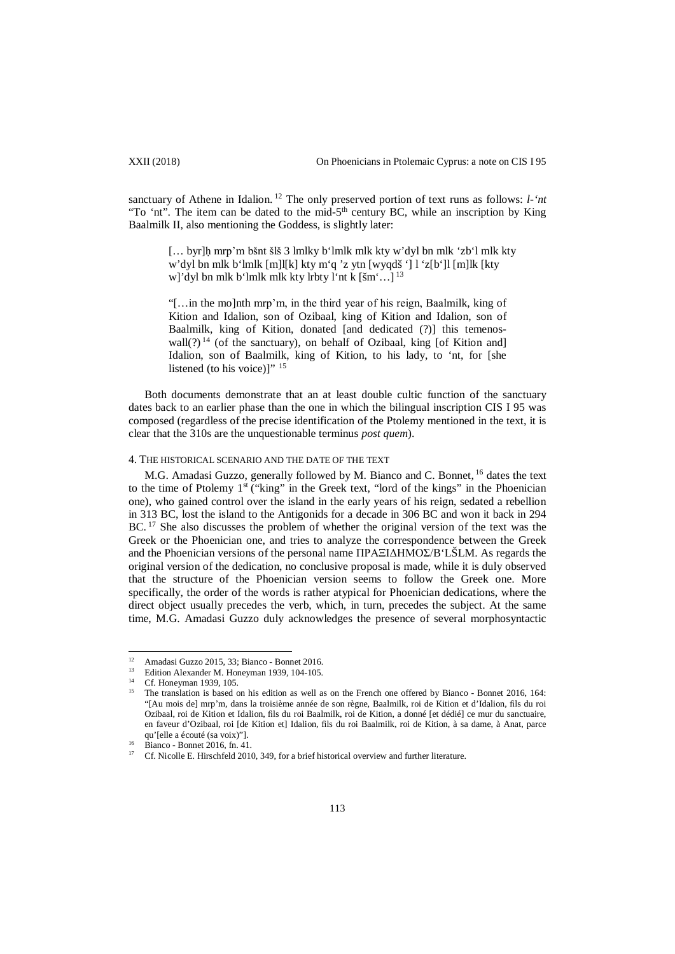sanctuary of Athene in Idalion.<sup>12</sup> The only preserved portion of text runs as follows: *l*-'*nt* "To 'nt". The item can be dated to the mid-5<sup>th</sup> century BC, while an inscription by King Baalmilk II, also mentioning the Goddess, is slightly later:

[… byr]ḥ mrp'm bšnt šlš 3 lmlky b'lmlk mlk kty w'dyl bn mlk 'zb'l mlk kty w'dyl bn mlk b'lmlk [m]l[k] kty m'q 'z ytn [wyqdš '] l 'z[b']l [m]lk [kty w]'dyl bn mlk b'lmlk mlk kty lrbty l'nt k [šm'…] <sup>13</sup>

"[…in the mo]nth mrp'm, in the third year of his reign, Baalmilk, king of Kition and Idalion, son of Ozibaal, king of Kition and Idalion, son of Baalmilk, king of Kition, donated [and dedicated (?)] this temenoswall(?)<sup>14</sup> (of the sanctuary), on behalf of Ozibaal, king [of Kition and] Idalion, son of Baalmilk, king of Kition, to his lady, to 'nt, for [she listened (to his voice)]" <sup>15</sup>

Both documents demonstrate that an at least double cultic function of the sanctuary dates back to an earlier phase than the one in which the bilingual inscription CIS I 95 was composed (regardless of the precise identification of the Ptolemy mentioned in the text, it is clear that the 310s are the unquestionable terminus *post quem*).

## 4. THE HISTORICAL SCENARIO AND THE DATE OF THE TEXT

M.G. Amadasi Guzzo, generally followed by M. Bianco and C. Bonnet, <sup>16</sup> dates the text to the time of Ptolemy 1<sup>st</sup> ("king" in the Greek text, "lord of the kings" in the Phoenician one), who gained control over the island in the early years of his reign, sedated a rebellion in 313 BC, lost the island to the Antigonids for a decade in 306 BC and won it back in 294 BC.<sup>17</sup> She also discusses the problem of whether the original version of the text was the Greek or the Phoenician one, and tries to analyze the correspondence between the Greek and the Phoenician versions of the personal name ΠΡΑΞIΔHMOΣ/B'LŠLM. As regards the original version of the dedication, no conclusive proposal is made, while it is duly observed that the structure of the Phoenician version seems to follow the Greek one. More specifically, the order of the words is rather atypical for Phoenician dedications, where the direct object usually precedes the verb, which, in turn, precedes the subject. At the same time, M.G. Amadasi Guzzo duly acknowledges the presence of several morphosyntactic

<sup>&</sup>lt;sup>12</sup> Amadasi Guzzo 2015, 33; Bianco - Bonnet 2016.  $12<sup>12</sup>$ 

<sup>&</sup>lt;sup>13</sup> Edition Alexander M. Honeyman 1939, 104-105.<br><sup>14</sup> Cf. Honeyman 1939, 105.

<sup>15</sup> The translation is based on his edition as well as on the French one offered by Bianco - Bonnet 2016, 164: "[Au mois de] mrp'm, dans la troisième année de son règne, Baalmilk, roi de Kition et d'Idalion, fils du roi Ozibaal, roi de Kition et Idalion, fils du roi Baalmilk, roi de Kition, a donné [et dédié] ce mur du sanctuaire, en faveur d'Ozibaal, roi [de Kition et] Idalion, fils du roi Baalmilk, roi de Kition, à sa dame, à Anat, parce qu'[elle a écouté (sa voix)"].

<sup>16</sup> Bianco - Bonnet 2016, fn. 41.

<sup>17</sup> Cf. Nicolle E. Hirschfeld 2010, 349, for a brief historical overview and further literature.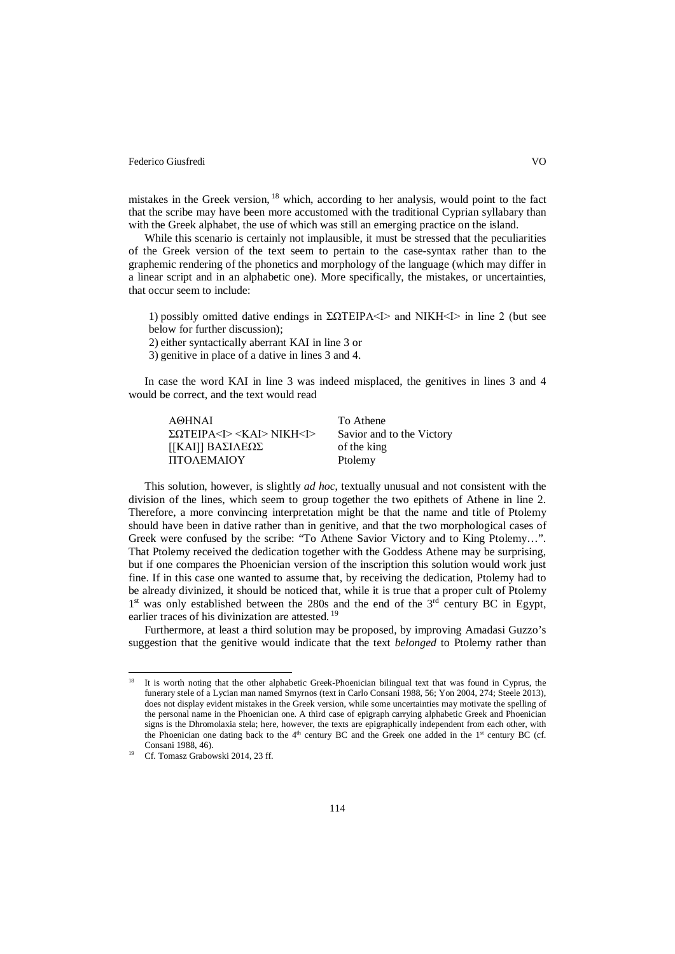mistakes in the Greek version, <sup>18</sup> which, according to her analysis, would point to the fact that the scribe may have been more accustomed with the traditional Cyprian syllabary than with the Greek alphabet, the use of which was still an emerging practice on the island.

While this scenario is certainly not implausible, it must be stressed that the peculiarities of the Greek version of the text seem to pertain to the case-syntax rather than to the graphemic rendering of the phonetics and morphology of the language (which may differ in a linear script and in an alphabetic one). More specifically, the mistakes, or uncertainties, that occur seem to include:

1) possibly omitted dative endings in  $\Sigma$ ΩTEIPA<I> and NIKH<I> in line 2 (but see below for further discussion);

2) either syntactically aberrant KAI in line 3 or

3) genitive in place of a dative in lines 3 and 4.

In case the word KAI in line 3 was indeed misplaced, the genitives in lines 3 and 4 would be correct, and the text would read

| A@HNAI                                          | To Athene                 |
|-------------------------------------------------|---------------------------|
| $\Sigma$ OTEIPA <i> <kai> NIKH<i></i></kai></i> | Savior and to the Victory |
| [[ΚΑΙ]] ΒΑΣΙΛΕΩΣ                                | of the king               |
| ΠΤΟΛΕΜΑΙΟΥ                                      | Ptolemy                   |

This solution, however, is slightly *ad hoc*, textually unusual and not consistent with the division of the lines, which seem to group together the two epithets of Athene in line 2. Therefore, a more convincing interpretation might be that the name and title of Ptolemy should have been in dative rather than in genitive, and that the two morphological cases of Greek were confused by the scribe: "To Athene Savior Victory and to King Ptolemy…". That Ptolemy received the dedication together with the Goddess Athene may be surprising, but if one compares the Phoenician version of the inscription this solution would work just fine. If in this case one wanted to assume that, by receiving the dedication, Ptolemy had to be already divinized, it should be noticed that, while it is true that a proper cult of Ptolemy  $1<sup>st</sup>$  was only established between the 280s and the end of the  $3<sup>rd</sup>$  century BC in Egypt, earlier traces of his divinization are attested.<sup>19</sup>

Furthermore, at least a third solution may be proposed, by improving Amadasi Guzzo's suggestion that the genitive would indicate that the text *belonged* to Ptolemy rather than

 $\overline{a}$ 

<sup>18</sup> It is worth noting that the other alphabetic Greek-Phoenician bilingual text that was found in Cyprus, the funerary stele of a Lycian man named Smyrnos (text in Carlo Consani 1988, 56; Yon 2004, 274; Steele 2013), does not display evident mistakes in the Greek version, while some uncertainties may motivate the spelling of the personal name in the Phoenician one. A third case of epigraph carrying alphabetic Greek and Phoenician signs is the Dhromolaxia stela; here, however, the texts are epigraphically independent from each other, with the Phoenician one dating back to the  $4<sup>th</sup>$  century BC and the Greek one added in the  $1<sup>st</sup>$  century BC (cf. Consani 1988, 46).

<sup>&</sup>lt;sup>19</sup> Cf. Tomasz Grabowski 2014, 23 ff.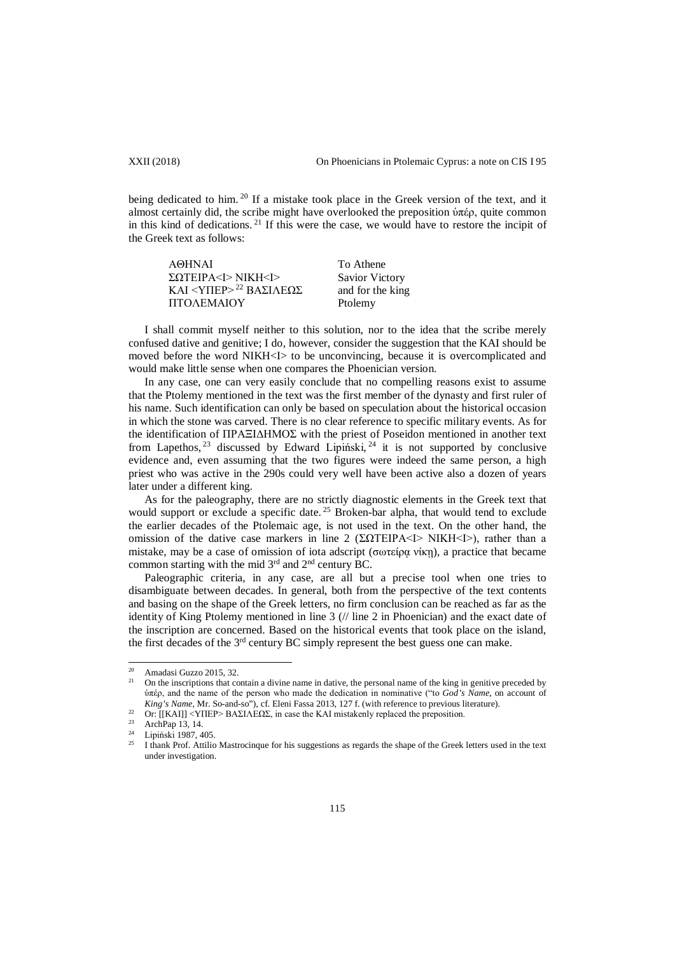XXII (2018) On Phoenicians in Ptolemaic Cyprus: a note on CIS I 95

being dedicated to him.<sup>20</sup> If a mistake took place in the Greek version of the text, and it almost certainly did, the scribe might have overlooked the preposition ὑπέρ, quite common in this kind of dedications.<sup>21</sup> If this were the case, we would have to restore the incipit of the Greek text as follows:

| A@HNAI                                  | To Athene             |
|-----------------------------------------|-----------------------|
| $\Sigma$ QTEIPA <i>NIKH<i></i></i>      | <b>Savior Victory</b> |
| KAI <yπερ><sup>22</sup> ΒΑΣΙΛΕΩΣ</yπερ> | and for the king      |
| ΠΤΟΛΕΜΑΙΟΥ                              | Ptolemy               |

I shall commit myself neither to this solution, nor to the idea that the scribe merely confused dative and genitive; I do, however, consider the suggestion that the KAI should be moved before the word NIKH<I> to be unconvincing, because it is overcomplicated and would make little sense when one compares the Phoenician version.

In any case, one can very easily conclude that no compelling reasons exist to assume that the Ptolemy mentioned in the text was the first member of the dynasty and first ruler of his name. Such identification can only be based on speculation about the historical occasion in which the stone was carved. There is no clear reference to specific military events. As for the identification of ΠΡΑΞIΔHMOΣ with the priest of Poseidon mentioned in another text from Lapethos,  $^{23}$  discussed by Edward Lipiński,  $^{24}$  it is not supported by conclusive evidence and, even assuming that the two figures were indeed the same person, a high priest who was active in the 290s could very well have been active also a dozen of years later under a different king.

As for the paleography, there are no strictly diagnostic elements in the Greek text that would support or exclude a specific date.<sup>25</sup> Broken-bar alpha, that would tend to exclude the earlier decades of the Ptolemaic age, is not used in the text. On the other hand, the omission of the dative case markers in line 2 (ΣΩTEIPA<I> NIKH<I>), rather than a mistake, may be a case of omission of iota adscript (σωτείρᾳ νίκῃ), a practice that became common starting with the mid  $3<sup>rd</sup>$  and  $2<sup>nd</sup>$  century BC.

Paleographic criteria, in any case, are all but a precise tool when one tries to disambiguate between decades. In general, both from the perspective of the text contents and basing on the shape of the Greek letters, no firm conclusion can be reached as far as the identity of King Ptolemy mentioned in line 3 (// line 2 in Phoenician) and the exact date of the inscription are concerned. Based on the historical events that took place on the island, the first decades of the  $3<sup>rd</sup>$  century BC simply represent the best guess one can make.

<sup>20</sup> Amadasi Guzzo 2015, 32. 20

<sup>21</sup> On the inscriptions that contain a divine name in dative, the personal name of the king in genitive preceded by ὑπέρ, and the name of the person who made the dedication in nominative ("to *God's Name*, on account of *King's Name*, Mr. So-and-so"), cf. Eleni Fassa 2013, 127 f. (with reference to previous literature).

<sup>&</sup>lt;sup>22</sup> Or: [[ΚΑΙ]] <YΠΕΡ> ΒΑΣΙΛΕΩΣ, in case the KAI mistakenly replaced the preposition.

<sup>&</sup>lt;sup>23</sup> ArchPap 13, 14.<br><sup>24</sup> Liniágh: 1097. 4

<sup>&</sup>lt;sup>24</sup> Lipiński 1987, 405.

<sup>25</sup> I thank Prof. Attilio Mastrocinque for his suggestions as regards the shape of the Greek letters used in the text under investigation.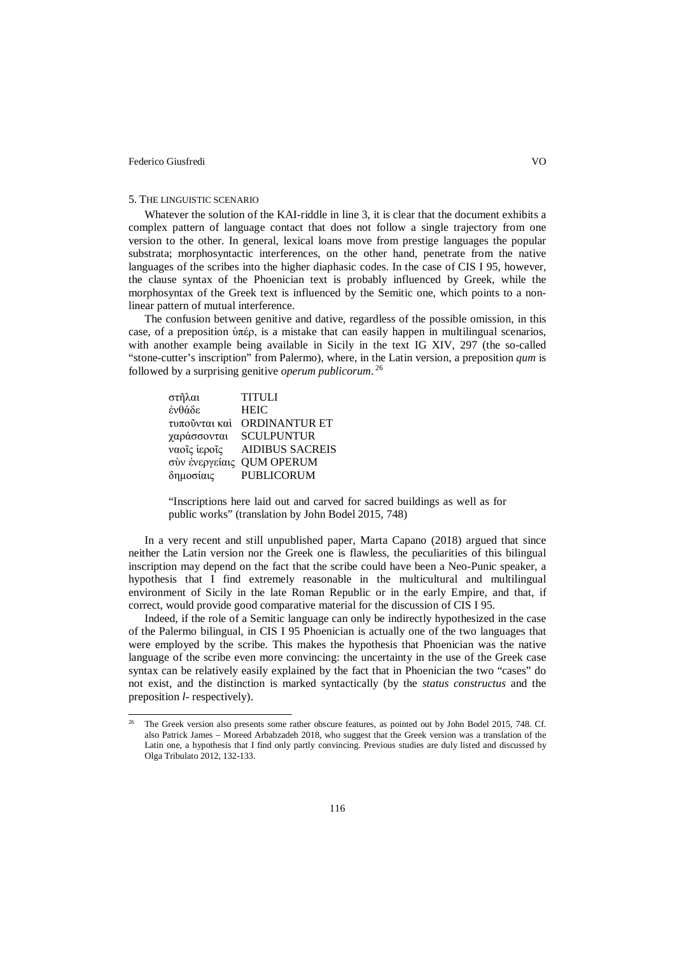$\overline{a}$ 

## 5. THE LINGUISTIC SCENARIO

Whatever the solution of the KAI-riddle in line 3, it is clear that the document exhibits a complex pattern of language contact that does not follow a single trajectory from one version to the other. In general, lexical loans move from prestige languages the popular substrata; morphosyntactic interferences, on the other hand, penetrate from the native languages of the scribes into the higher diaphasic codes. In the case of CIS I 95, however, the clause syntax of the Phoenician text is probably influenced by Greek, while the morphosyntax of the Greek text is influenced by the Semitic one, which points to a nonlinear pattern of mutual interference.

The confusion between genitive and dative, regardless of the possible omission, in this case, of a preposition ὑπέρ, is a mistake that can easily happen in multilingual scenarios, with another example being available in Sicily in the text IG XIV, 297 (the so-called "stone-cutter's inscription" from Palermo), where, in the Latin version, a preposition *qum* is followed by a surprising genitive *operum publicorum*. <sup>26</sup>

| στῆλαι        | <b>TITULI</b>             |
|---------------|---------------------------|
| ένθάδε        | <b>HEIC</b>               |
| τυπούνται καί | <b>ORDINANTUR ET</b>      |
| χαράσσονται   | <b>SCULPUNTUR</b>         |
| ναοΐς ιεροΐς  | <b>AIDIBUS SACREIS</b>    |
|               | σύν ένεργείαις QUM OPERUM |
| δημοσίαις     | <b>PUBLICORUM</b>         |

"Inscriptions here laid out and carved for sacred buildings as well as for public works" (translation by John Bodel 2015, 748)

In a very recent and still unpublished paper, Marta Capano (2018) argued that since neither the Latin version nor the Greek one is flawless, the peculiarities of this bilingual inscription may depend on the fact that the scribe could have been a Neo-Punic speaker, a hypothesis that I find extremely reasonable in the multicultural and multilingual environment of Sicily in the late Roman Republic or in the early Empire, and that, if correct, would provide good comparative material for the discussion of CIS I 95.

Indeed, if the role of a Semitic language can only be indirectly hypothesized in the case of the Palermo bilingual, in CIS I 95 Phoenician is actually one of the two languages that were employed by the scribe. This makes the hypothesis that Phoenician was the native language of the scribe even more convincing: the uncertainty in the use of the Greek case syntax can be relatively easily explained by the fact that in Phoenician the two "cases" do not exist, and the distinction is marked syntactically (by the *status constructus* and the preposition *l-* respectively).

<sup>26</sup> The Greek version also presents some rather obscure features, as pointed out by John Bodel 2015, 748. Cf. also Patrick James – Moreed Arbabzadeh 2018, who suggest that the Greek version was a translation of the Latin one, a hypothesis that I find only partly convincing. Previous studies are duly listed and discussed by Olga Tribulato 2012, 132-133.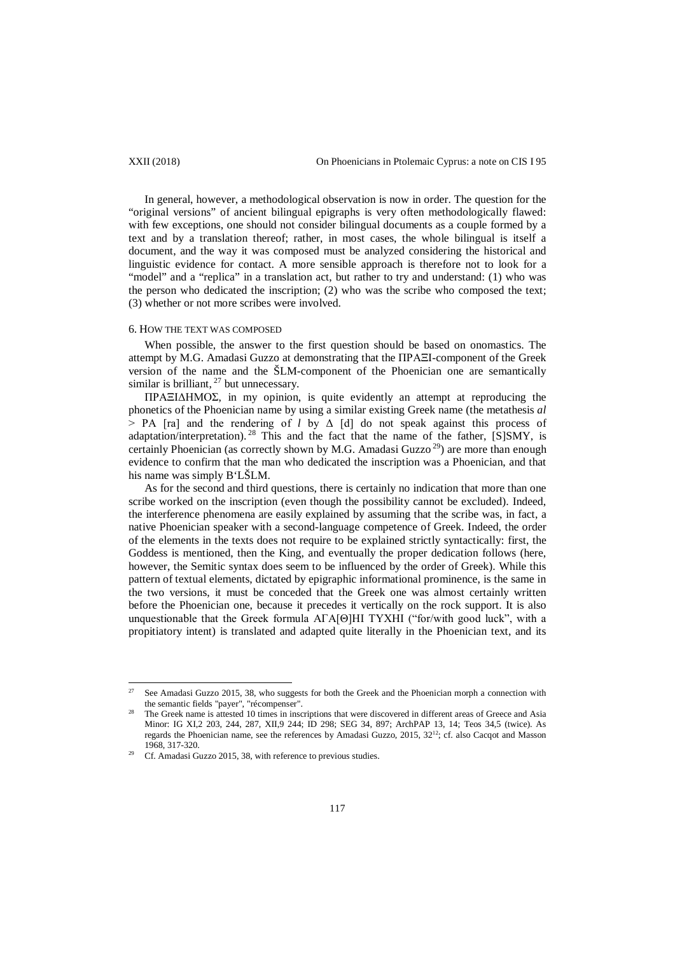In general, however, a methodological observation is now in order. The question for the "original versions" of ancient bilingual epigraphs is very often methodologically flawed: with few exceptions, one should not consider bilingual documents as a couple formed by a text and by a translation thereof; rather, in most cases, the whole bilingual is itself a document, and the way it was composed must be analyzed considering the historical and linguistic evidence for contact. A more sensible approach is therefore not to look for a "model" and a "replica" in a translation act, but rather to try and understand: (1) who was the person who dedicated the inscription; (2) who was the scribe who composed the text; (3) whether or not more scribes were involved.

## 6. HOW THE TEXT WAS COMPOSED

When possible, the answer to the first question should be based on onomastics. The attempt by M.G. Amadasi Guzzo at demonstrating that the ΠΡΑΞI-component of the Greek version of the name and the ŠLM-component of the Phoenician one are semantically similar is brilliant,  $^{27}$  but unnecessary.

ΠΡΑΞIΔHMOΣ, in my opinion, is quite evidently an attempt at reproducing the phonetics of the Phoenician name by using a similar existing Greek name (the metathesis *al* > ΡΑ [ra] and the rendering of *l* by Δ [d] do not speak against this process of adaptation/interpretation). <sup>28</sup> This and the fact that the name of the father,  $[S]$ SMY, is certainly Phoenician (as correctly shown by M.G. Amadasi Guzzo<sup>29</sup>) are more than enough evidence to confirm that the man who dedicated the inscription was a Phoenician, and that his name was simply B'LŠLM.

As for the second and third questions, there is certainly no indication that more than one scribe worked on the inscription (even though the possibility cannot be excluded). Indeed, the interference phenomena are easily explained by assuming that the scribe was, in fact, a native Phoenician speaker with a second-language competence of Greek. Indeed, the order of the elements in the texts does not require to be explained strictly syntactically: first, the Goddess is mentioned, then the King, and eventually the proper dedication follows (here, however, the Semitic syntax does seem to be influenced by the order of Greek). While this pattern of textual elements, dictated by epigraphic informational prominence, is the same in the two versions, it must be conceded that the Greek one was almost certainly written before the Phoenician one, because it precedes it vertically on the rock support. It is also unquestionable that the Greek formula AΓA[Θ]HI TYXHI ("for/with good luck", with a propitiatory intent) is translated and adapted quite literally in the Phoenician text, and its

See Amadasi Guzzo 2015, 38, who suggests for both the Greek and the Phoenician morph a connection with the semantic fields "payer", "récompenser". 27

<sup>&</sup>lt;sup>28</sup> The Greek name is attested 10 times in inscriptions that were discovered in different areas of Greece and Asia Minor: IG XI,2 203, 244, 287, XII,9 244; ID 298; SEG 34, 897; ArchPAP 13, 14; Teos 34,5 (twice). As regards the Phoenician name, see the references by Amadasi Guzzo, 2015, 32<sup>12</sup>; cf. also Cacqot and Masson 1968, 317-320.

Cf. Amadasi Guzzo 2015, 38, with reference to previous studies.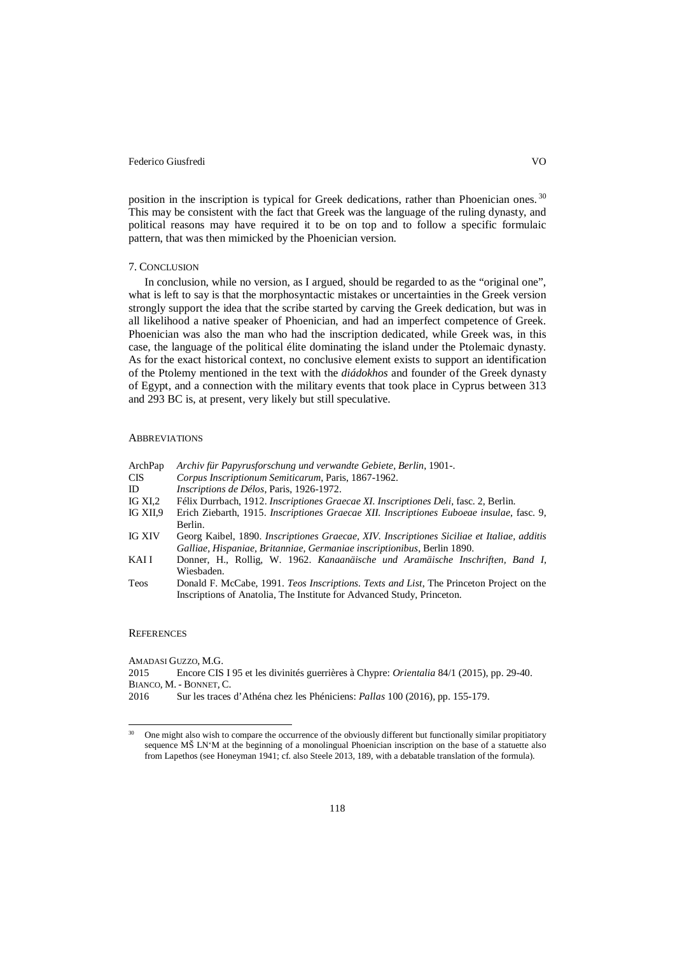position in the inscription is typical for Greek dedications, rather than Phoenician ones.<sup>30</sup> This may be consistent with the fact that Greek was the language of the ruling dynasty, and political reasons may have required it to be on top and to follow a specific formulaic pattern, that was then mimicked by the Phoenician version.

# 7. CONCLUSION

In conclusion, while no version, as I argued, should be regarded to as the "original one", what is left to say is that the morphosyntactic mistakes or uncertainties in the Greek version strongly support the idea that the scribe started by carving the Greek dedication, but was in all likelihood a native speaker of Phoenician, and had an imperfect competence of Greek. Phoenician was also the man who had the inscription dedicated, while Greek was, in this case, the language of the political élite dominating the island under the Ptolemaic dynasty. As for the exact historical context, no conclusive element exists to support an identification of the Ptolemy mentioned in the text with the *diádokhos* and founder of the Greek dynasty of Egypt, and a connection with the military events that took place in Cyprus between 313 and 293 BC is, at present, very likely but still speculative.

## **ABBREVIATIONS**

| ArchPap  | Archiv für Papyrusforschung und verwandte Gebiete, Berlin, 1901-.                          |
|----------|--------------------------------------------------------------------------------------------|
| CIS      | Corpus Inscriptionum Semiticarum, Paris, 1867-1962.                                        |
| ID       | <i>Inscriptions de Délos, Paris, 1926-1972.</i>                                            |
| IG XI,2  | Félix Durrbach, 1912. Inscriptiones Graecae XI. Inscriptiones Deli, fasc. 2, Berlin.       |
| IG XII.9 | Erich Ziebarth, 1915. Inscriptiones Graecae XII. Inscriptiones Euboeae insulae, fasc. 9,   |
|          | Berlin.                                                                                    |
| IG XIV   | Georg Kaibel, 1890. Inscriptiones Graecae, XIV. Inscriptiones Siciliae et Italiae, additis |
|          | Galliae, Hispaniae, Britanniae, Germaniae inscriptionibus, Berlin 1890.                    |
| KAI I    | Donner, H., Rollig, W. 1962. Kanaanäische und Aramäische Inschriften, Band I,              |
|          | Wiesbaden.                                                                                 |
| Teos     | Donald F. McCabe, 1991. Teos Inscriptions. Texts and List, The Princeton Project on the    |

## **REFERENCES**

 $\overline{a}$ 

AMADASI GUZZO, M.G. 2015 Encore CIS I 95 et les divinités guerrières à Chypre: *Orientalia* 84/1 (2015), pp. 29-40. BIANCO, M. - BONNET, C. 2016 Sur les traces d'Athéna chez les Phéniciens: *Pallas* 100 (2016), pp. 155-179.

Inscriptions of Anatolia, The Institute for Advanced Study, Princeton.

<sup>&</sup>lt;sup>30</sup> One might also wish to compare the occurrence of the obviously different but functionally similar propitiatory sequence MŠ LN'M at the beginning of a monolingual Phoenician inscription on the base of a statuette also from Lapethos (see Honeyman 1941; cf. also Steele 2013, 189, with a debatable translation of the formula).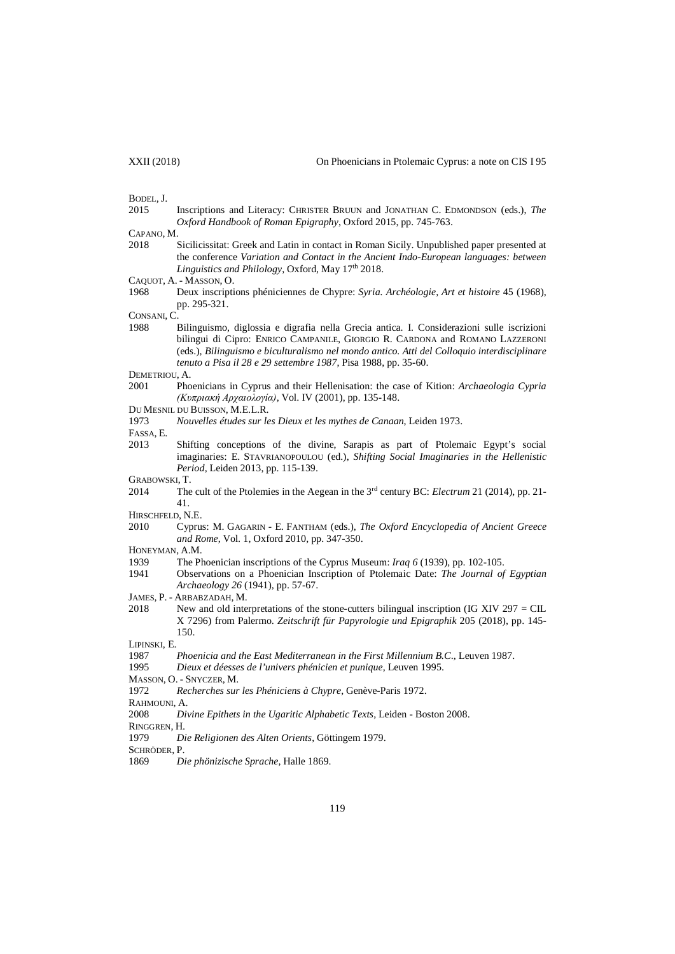BODEL, J.<br>2015

Inscriptions and Literacy: CHRISTER BRUUN and JONATHAN C. EDMONDSON (eds.), *The Oxford Handbook of Roman Epigraphy*, Oxford 2015, pp. 745-763.

- CAPANO, M.<br>2018 2018 Sicilicissitat: Greek and Latin in contact in Roman Sicily. Unpublished paper presented at the conference *Variation and Contact in the Ancient Indo-European languages: between*  Linguistics and Philology, Oxford, May 17<sup>th</sup> 2018.
- CAQUOT, A. MASSON, O.
- 1968 Deux inscriptions phéniciennes de Chypre: *Syria. Archéologie, Art et histoire* 45 (1968), pp. 295-321.

CONSANI, C.

1988 Bilinguismo, diglossia e digrafia nella Grecia antica. I. Considerazioni sulle iscrizioni bilingui di Cipro: ENRICO CAMPANILE, GIORGIO R. CARDONA and ROMANO LAZZERONI (eds.), *Bilinguismo e biculturalismo nel mondo antico. Atti del Colloquio interdisciplinare tenuto a Pisa il 28 e 29 settembre 1987*, Pisa 1988, pp. 35-60.

DEMETRIOU, A.

- 2001 Phoenicians in Cyprus and their Hellenisation: the case of Kition: *Archaeologia Cypria (Κυπριακή Αρχαιολογία)*, Vol. IV (2001), pp. 135-148.
- DU MESNIL DU BUISSON, M.E.L.R.
- 1973 *Nouvelles études sur les Dieux et les mythes de Canaan*, Leiden 1973.

FASSA, E.

- 2013 Shifting conceptions of the divine, Sarapis as part of Ptolemaic Egypt's social imaginaries: E. STAVRIANOPOULOU (ed.), *Shifting Social Imaginaries in the Hellenistic Period*, Leiden 2013, pp. 115-139.
- GRABOWSKI, T.
- 2014 The cult of the Ptolemies in the Aegean in the 3rd century BC: *Electrum* 21 (2014), pp. 21- 41.
- HIRSCHFELD, N.E.
- 2010 Cyprus: M. GAGARIN E. FANTHAM (eds.), *The Oxford Encyclopedia of Ancient Greece and Rome*, Vol. 1, Oxford 2010, pp. 347-350.
- HONEYMAN, A.M.
- 1939 The Phoenician inscriptions of the Cyprus Museum: *Iraq 6* (1939), pp. 102-105.
- 1941 Observations on a Phoenician Inscription of Ptolemaic Date: *The Journal of Egyptian Archaeology 26* (1941), pp. 57-67.
- JAMES, P. ARBABZADAH, M.
- 2018 New and old interpretations of the stone-cutters bilingual inscription (IG XIV 297 = CIL X 7296) from Palermo. *Zeitschrift für Papyrologie und Epigraphik* 205 (2018), pp. 145- 150.

LIPINSKI, E.

- 1987 *Phoenicia and the East Mediterranean in the First Millennium B.C*., Leuven 1987.
- 1995 *Dieux et déesses de l'univers phénicien et punique*, Leuven 1995.
- MASSON, O. SNYCZER, M.
- 1972 *Recherches sur les Phéniciens à Chypre*, Genève-Paris 1972.
- RAHMOUNI, A.
- 2008 *Divine Epithets in the Ugaritic Alphabetic Texts*, Leiden Boston 2008.
- RINGGREN, H.
- 1979 *Die Religionen des Alten Orients*, Göttingem 1979.
- SCHRÖDER, P.
- 1869 *Die phönizische Sprache*, Halle 1869.